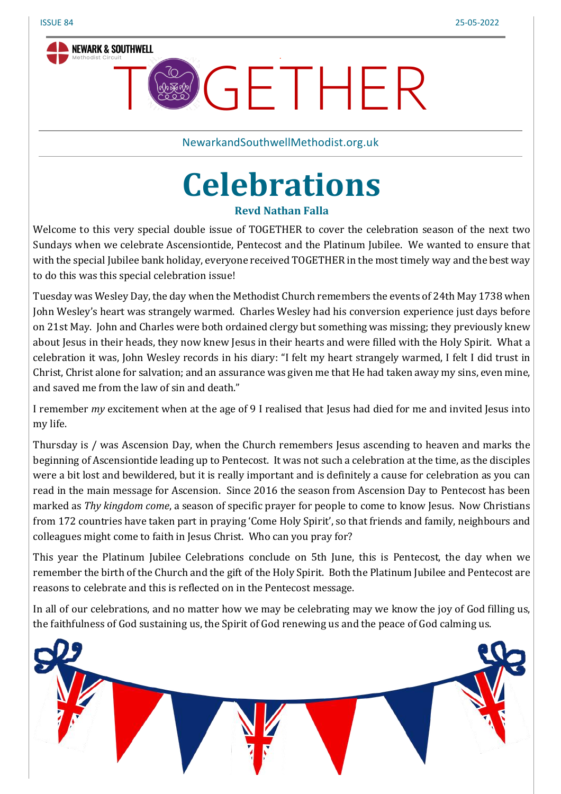

NewarkandSouthwellMethodist.org.uk

.

**GETHER** 

# **Celebrations**

#### **Revd Nathan Falla**

Welcome to this very special double issue of TOGETHER to cover the celebration season of the next two Sundays when we celebrate Ascensiontide, Pentecost and the Platinum Jubilee. We wanted to ensure that with the special Jubilee bank holiday, everyone received TOGETHER in the most timely way and the best way to do this was this special celebration issue!

Tuesday was Wesley Day, the day when the Methodist Church remembers the events of 24th May 1738 when John Wesley's heart was strangely warmed. Charles Wesley had his conversion experience just days before on 21st May. John and Charles were both ordained clergy but something was missing; they previously knew about Jesus in their heads, they now knew Jesus in their hearts and were filled with the Holy Spirit. What a celebration it was, John Wesley records in his diary: "I felt my heart strangely warmed, I felt I did trust in Christ, Christ alone for salvation; and an assurance was given me that He had taken away my sins, even mine, and saved me from the law of sin and death."

I remember *my* excitement when at the age of 9 I realised that Jesus had died for me and invited Jesus into my life.

Thursday is / was Ascension Day, when the Church remembers Jesus ascending to heaven and marks the beginning of Ascensiontide leading up to Pentecost. It was not such a celebration at the time, as the disciples were a bit lost and bewildered, but it is really important and is definitely a cause for celebration as you can read in the main message for Ascension. Since 2016 the season from Ascension Day to Pentecost has been marked as *Thy kingdom come*, a season of specific prayer for people to come to know Jesus. Now Christians from 172 countries have taken part in praying 'Come Holy Spirit', so that friends and family, neighbours and colleagues might come to faith in Jesus Christ. Who can you pray for?

This year the Platinum Jubilee Celebrations conclude on 5th June, this is Pentecost, the day when we remember the birth of the Church and the gift of the Holy Spirit. Both the Platinum Jubilee and Pentecost are reasons to celebrate and this is reflected on in the Pentecost message.

In all of our celebrations, and no matter how we may be celebrating may we know the joy of God filling us, the faithfulness of God sustaining us, the Spirit of God renewing us and the peace of God calming us.

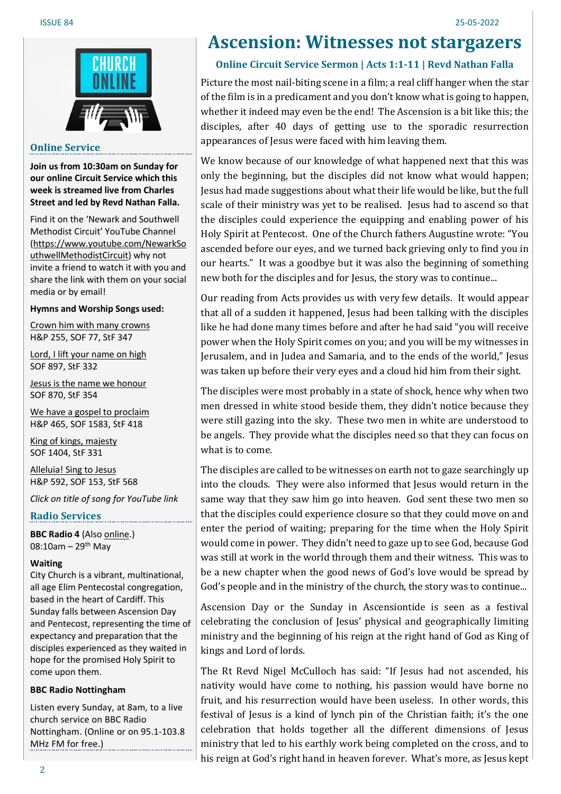

#### **Online Service**

**Join us from 10:30am on Sunday for our online Circuit Service which this week is streamed live from Charles Street and led by Revd Nathan Falla.**

Find it on the 'Newark and Southwell Methodist Circuit' YouTube Channel [\(https://www.youtube.com/NewarkSo](https://www.youtube.com/NewarkSouthwellMethodistCircuit) [uthwellMethodistCircuit\)](https://www.youtube.com/NewarkSouthwellMethodistCircuit) why not invite a friend to watch it with you and share the link with them on your social media or by email!

#### **Hymns and Worship Songs used:**

Crown him with many [crowns](https://www.youtube.com/watch?v=FiJYgC_6AFc) H&P 255, SOF 77, StF 347

Lord, I lift your [name](https://www.youtube.com/watch?v=03MdMcBFNdk) on high SOF 897, StF 332

Jesus is the name we [honour](https://www.youtube.com/watch?v=NUqxpRlxdh8) SOF 870, StF 354

We have a gospel to [proclaim](https://www.youtube.com/watch?v=z_-KB40Q1aA) H&P 465, SOF 1583, StF 418

King of kings, [majesty](https://www.youtube.com/watch?v=SnuRIdNwiwg) SOF 1404, StF 331

[Alleluia!](https://www.youtube.com/watch?v=ncjc_ZP1Go0) Sing to Jesus H&P 592, SOF 153, StF 568

*Click on title of song for YouTube link*

#### **Radio Services**

**BBC Radio 4** (Also [online.](https://www.bbc.co.uk/programmes/m0017t3j)) 08:10am – 29<sup>th</sup> May

#### **Waiting**

City Church is a vibrant, multinational, all age Elim Pentecostal congregation, based in the heart of Cardiff. This Sunday falls between Ascension Day and Pentecost, representing the time of expectancy and preparation that the disciples experienced as they waited in hope for the promised Holy Spirit to come upon them.

#### **BBC Radio Nottingham**

Listen every Sunday, at 8am, to a live church service on BBC Radio Nottingham. (Online or on 95.1-103.8 MHz FM for free.)

# **Ascension: Witnesses not stargazers**

#### **Online Circuit Service Sermon | Acts 1:1-11 | Revd Nathan Falla**

Picture the most nail-biting scene in a film; a real cliff hanger when the star of the film is in a predicament and you don't know what is going to happen, whether it indeed may even be the end! The Ascension is a bit like this; the disciples, after 40 days of getting use to the sporadic resurrection appearances of Jesus were faced with him leaving them.

We know because of our knowledge of what happened next that this was only the beginning, but the disciples did not know what would happen; Jesus had made suggestions about what their life would be like, but the full scale of their ministry was yet to be realised. Jesus had to ascend so that the disciples could experience the equipping and enabling power of his Holy Spirit at Pentecost. One of the Church fathers Augustine wrote: "You ascended before our eyes, and we turned back grieving only to find you in our hearts." It was a goodbye but it was also the beginning of something new both for the disciples and for Jesus, the story was to continue...

Our reading from Acts provides us with very few details. It would appear that all of a sudden it happened, Jesus had been talking with the disciples like he had done many times before and after he had said "you will receive power when the Holy Spirit comes on you; and you will be my witnesses in Jerusalem, and in Judea and Samaria, and to the ends of the world," Jesus was taken up before their very eyes and a cloud hid him from their sight.

The disciples were most probably in a state of shock, hence why when two men dressed in white stood beside them, they didn't notice because they were still gazing into the sky. These two men in white are understood to be angels. They provide what the disciples need so that they can focus on what is to come.

The disciples are called to be witnesses on earth not to gaze searchingly up into the clouds. They were also informed that Jesus would return in the same way that they saw him go into heaven. God sent these two men so that the disciples could experience closure so that they could move on and enter the period of waiting; preparing for the time when the Holy Spirit would come in power. They didn't need to gaze up to see God, because God was still at work in the world through them and their witness. This was to be a new chapter when the good news of God's love would be spread by God's people and in the ministry of the church, the story was to continue...

Ascension Day or the Sunday in Ascensiontide is seen as a festival celebrating the conclusion of Jesus' physical and geographically limiting ministry and the beginning of his reign at the right hand of God as King of kings and Lord of lords.

The Rt Revd Nigel McCulloch has said: "If Jesus had not ascended, his nativity would have come to nothing, his passion would have borne no fruit, and his resurrection would have been useless. In other words, this festival of Jesus is a kind of lynch pin of the Christian faith; it's the one celebration that holds together all the different dimensions of Jesus ministry that led to his earthly work being completed on the cross, and to his reign at God's right hand in heaven forever. What's more, as Jesus kept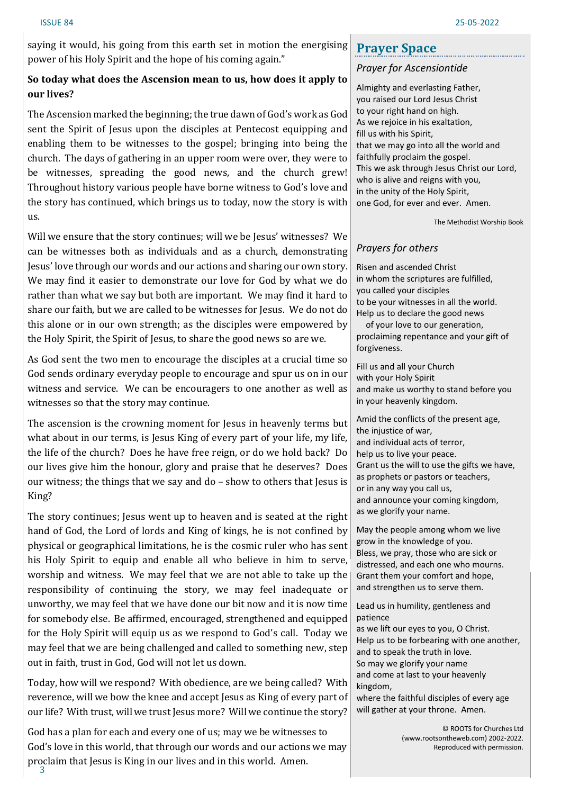saying it would, his going from this earth set in motion the energising power of his Holy Spirit and the hope of his coming again."

#### **So today what does the Ascension mean to us, how does it apply to our lives?**

The Ascension marked the beginning; the true dawn of God's work as God sent the Spirit of Jesus upon the disciples at Pentecost equipping and enabling them to be witnesses to the gospel; bringing into being the church. The days of gathering in an upper room were over, they were to be witnesses, spreading the good news, and the church grew! Throughout history various people have borne witness to God's love and the story has continued, which brings us to today, now the story is with us.

Will we ensure that the story continues; will we be Jesus' witnesses? We can be witnesses both as individuals and as a church, demonstrating Jesus' love through our words and our actions and sharing our own story. We may find it easier to demonstrate our love for God by what we do rather than what we say but both are important. We may find it hard to share our faith, but we are called to be witnesses for Jesus. We do not do this alone or in our own strength; as the disciples were empowered by the Holy Spirit, the Spirit of Jesus, to share the good news so are we.

As God sent the two men to encourage the disciples at a crucial time so God sends ordinary everyday people to encourage and spur us on in our witness and service. We can be encouragers to one another as well as witnesses so that the story may continue.

The ascension is the crowning moment for Jesus in heavenly terms but what about in our terms, is Jesus King of every part of your life, my life, the life of the church? Does he have free reign, or do we hold back? Do our lives give him the honour, glory and praise that he deserves? Does our witness; the things that we say and do – show to others that Jesus is King?

The story continues; Jesus went up to heaven and is seated at the right hand of God, the Lord of lords and King of kings, he is not confined by physical or geographical limitations, he is the cosmic ruler who has sent his Holy Spirit to equip and enable all who believe in him to serve, worship and witness. We may feel that we are not able to take up the responsibility of continuing the story, we may feel inadequate or unworthy, we may feel that we have done our bit now and it is now time for somebody else. Be affirmed, encouraged, strengthened and equipped for the Holy Spirit will equip us as we respond to God's call. Today we may feel that we are being challenged and called to something new, step out in faith, trust in God, God will not let us down.

Today, how will we respond? With obedience, are we being called? With reverence, will we bow the knee and accept Jesus as King of every part of our life? With trust, will we trust Jesus more? Will we continue the story?

3 God has a plan for each and every one of us; may we be witnesses to God's love in this world, that through our words and our actions we may proclaim that Jesus is King in our lives and in this world. Amen.

# **Prayer Space**

#### *Prayer for Ascensiontide*

Almighty and everlasting Father, you raised our Lord Jesus Christ to your right hand on high. As we rejoice in his exaltation, fill us with his Spirit, that we may go into all the world and faithfully proclaim the gospel. This we ask through Jesus Christ our Lord, who is alive and reigns with you, in the unity of the Holy Spirit, one God, for ever and ever. Amen.

The Methodist Worship Book

#### *Prayers for others*

Risen and ascended Christ in whom the scriptures are fulfilled, you called your disciples to be your witnesses in all the world. Help us to declare the good news

of your love to our generation, proclaiming repentance and your gift of forgiveness.

Fill us and all your Church with your Holy Spirit and make us worthy to stand before you in your heavenly kingdom.

Amid the conflicts of the present age, the injustice of war, and individual acts of terror, help us to live your peace. Grant us the will to use the gifts we have, as prophets or pastors or teachers, or in any way you call us, and announce your coming kingdom, as we glorify your name.

May the people among whom we live grow in the knowledge of you. Bless, we pray, those who are sick or distressed, and each one who mourns. Grant them your comfort and hope, and strengthen us to serve them.

Lead us in humility, gentleness and patience

as we lift our eyes to you, O Christ. Help us to be forbearing with one another, and to speak the truth in love. So may we glorify your name and come at last to your heavenly kingdom, where the faithful disciples of every age

will gather at your throne. Amen.

© ROOTS for Churches Ltd (www.rootsontheweb.com) 2002-2022. Reproduced with permission.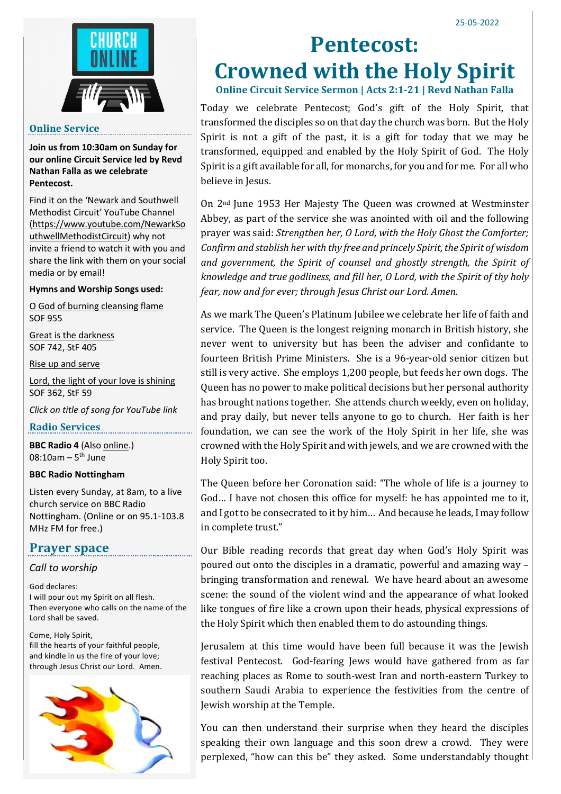

#### **Online Service**

**Join us from 10:30am on Sunday for our online Circuit Service led by Revd Nathan Falla as we celebrate Pentecost.**

Find it on the 'Newark and Southwell Methodist Circuit' YouTube Channel [\(https://www.youtube.com/NewarkSo](https://www.youtube.com/NewarkSouthwellMethodistCircuit) [uthwellMethodistCircuit\)](https://www.youtube.com/NewarkSouthwellMethodistCircuit) why not invite a friend to watch it with you and share the link with them on your social media or by email!

#### **Hymns and Worship Songs used:**

O God of burning [cleansing](https://www.youtube.com/watch?v=EEpsnCY3sMo) flame SOF 955

Great is the [darkness](https://www.youtube.com/watch?v=wP_BUHwweS4) SOF 742, StF 405

Rise up and [serve](https://www.youtube.com/watch?v=5Lu4_Wn42TA)

Lord, the light of your love is [shining](https://www.youtube.com/watch?v=op17raOTXbk) SOF 362, StF 59

*Click on title of song for YouTube link*

**Radio Services**

**BBC Radio 4** (Also [online.\)](https://www.bbc.co.uk/programmes/m00180xm) 08:10am – 5<sup>th</sup> June

#### **BBC Radio Nottingham**

Listen every Sunday, at 8am, to a live church service on BBC Radio Nottingham. (Online or on 95.1-103.8 MHz FM for free.)

#### **Prayer space**

*Call to worship*

God declares: I will pour out my Spirit on all flesh. Then everyone who calls on the name of the Lord shall be saved.

Come, Holy Spirit, fill the hearts of your faithful people, and kindle in us the fire of your love; through Jesus Christ our Lord. Amen.



# **Pentecost: Crowned with the Holy Spirit**

**Online Circuit Service Sermon | Acts 2:1-21 | Revd Nathan Falla**

Today we celebrate Pentecost; God's gift of the Holy Spirit, that transformed the disciples so on that day the church was born. But the Holy Spirit is not a gift of the past, it is a gift for today that we may be transformed, equipped and enabled by the Holy Spirit of God. The Holy Spirit is a gift available for all, for monarchs, for you and for me. For all who believe in Jesus.

On 2nd June 1953 Her Majesty The Queen was crowned at Westminster Abbey, as part of the service she was anointed with oil and the following prayer was said: *Strengthen her, O Lord, with the Holy Ghost the Comforter; Confirm* and *stablish her* with *thy free* and *princely Spirit*, *the Spirit of* wisdom *and government, the Spirit of counsel and ghostly strength, the Spirit of knowledge and true godliness, and fill her, O Lord, with the Spirit of thy holy fear, now and for ever; through Jesus Christ our Lord. Amen.*

As we mark The Queen's Platinum Jubilee we celebrate her life of faith and service. The Queen is the longest reigning monarch in British history, she never went to university but has been the adviser and confidante to fourteen British Prime Ministers. She is a 96-year-old senior citizen but still is very active. She employs 1,200 people, but feeds her own dogs. The Queen has no power to make political decisions but her personal authority has brought nations together. She attends church weekly, even on holiday, and pray daily, but never tells anyone to go to church. Her faith is her foundation, we can see the work of the Holy Spirit in her life, she was crowned with the Holy Spirit and with jewels, and we are crowned with the Holy Spirit too.

The Queen before her Coronation said: "The whole of life is a journey to God… I have not chosen this office for myself: he has appointed me to it, and I got to be consecrated to it by him... And because he leads, I may follow in complete trust."

Our Bible reading records that great day when God's Holy Spirit was poured out onto the disciples in a dramatic, powerful and amazing way – bringing transformation and renewal. We have heard about an awesome scene: the sound of the violent wind and the appearance of what looked like tongues of fire like a crown upon their heads, physical expressions of the Holy Spirit which then enabled them to do astounding things.

Jerusalem at this time would have been full because it was the Jewish festival Pentecost. God-fearing Jews would have gathered from as far reaching places as Rome to south-west Iran and north-eastern Turkey to southern Saudi Arabia to experience the festivities from the centre of Jewish worship at the Temple.

You can then understand their surprise when they heard the disciples speaking their own language and this soon drew a crowd. They were perplexed, "how can this be" they asked. Some understandably thought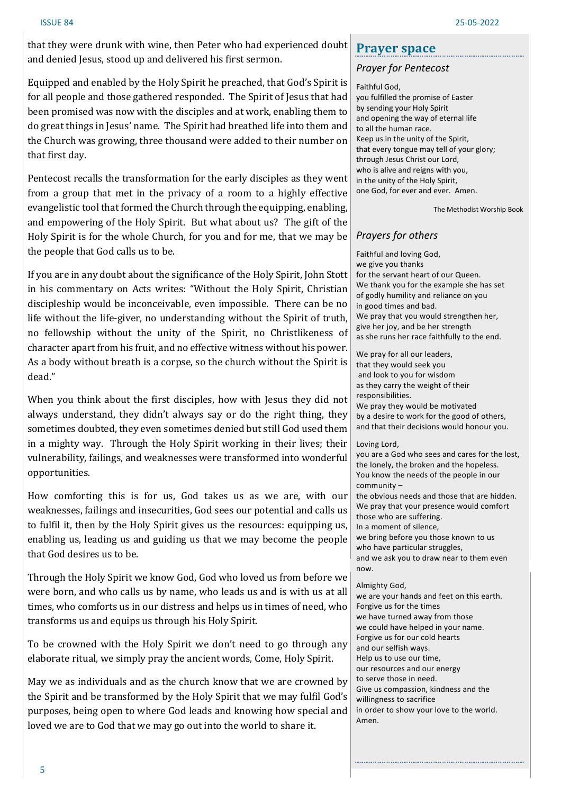that they were drunk with wine, then Peter who had experienced doubt and denied Jesus, stood up and delivered his first sermon.

Equipped and enabled by the Holy Spirit he preached, that God's Spirit is for all people and those gathered responded. The Spirit of Jesus that had been promised was now with the disciples and at work, enabling them to do great things in Jesus' name. The Spirit had breathed life into them and the Church was growing, three thousand were added to their number on that first day.

Pentecost recalls the transformation for the early disciples as they went from a group that met in the privacy of a room to a highly effective evangelistic tool that formed the Church through the equipping, enabling, and empowering of the Holy Spirit. But what about us? The gift of the Holy Spirit is for the whole Church, for you and for me, that we may be the people that God calls us to be.

If you are in any doubt about the significance of the Holy Spirit, John Stott in his commentary on Acts writes: "Without the Holy Spirit, Christian discipleship would be inconceivable, even impossible. There can be no life without the life-giver, no understanding without the Spirit of truth, no fellowship without the unity of the Spirit, no Christlikeness of character apart from his fruit, and no effective witness without his power. As a body without breath is a corpse, so the church without the Spirit is dead."

When you think about the first disciples, how with Jesus they did not always understand, they didn't always say or do the right thing, they sometimes doubted, they even sometimes denied but still God used them in a mighty way. Through the Holy Spirit working in their lives; their vulnerability, failings, and weaknesses were transformed into wonderful opportunities.

How comforting this is for us, God takes us as we are, with our weaknesses, failings and insecurities, God sees our potential and calls us to fulfil it, then by the Holy Spirit gives us the resources: equipping us, enabling us, leading us and guiding us that we may become the people that God desires us to be.

Through the Holy Spirit we know God, God who loved us from before we were born, and who calls us by name, who leads us and is with us at all times, who comforts us in our distress and helps us in times of need, who transforms us and equips us through his Holy Spirit.

To be crowned with the Holy Spirit we don't need to go through any elaborate ritual, we simply pray the ancient words, Come, Holy Spirit.

May we as individuals and as the church know that we are crowned by the Spirit and be transformed by the Holy Spirit that we may fulfil God's purposes, being open to where God leads and knowing how special and loved we are to God that we may go out into the world to share it.

## **Prayer space**

#### *Prayer for Pentecost*

Faithful God,

you fulfilled the promise of Easter by sending your Holy Spirit and opening the way of eternal life to all the human race. Keep us in the unity of the Spirit, that every tongue may tell of your glory; through Jesus Christ our Lord, who is alive and reigns with you, in the unity of the Holy Spirit, one God, for ever and ever. Amen.

The Methodist Worship Book

#### *Prayers for others*

Faithful and loving God, we give you thanks for the servant heart of our Queen. We thank you for the example she has set of godly humility and reliance on you in good times and bad. We pray that you would strengthen her, give her joy, and be her strength as she runs her race faithfully to the end.

We pray for all our leaders, that they would seek you and look to you for wisdom as they carry the weight of their responsibilities. We pray they would be motivated by a desire to work for the good of others, and that their decisions would honour you.

#### Loving Lord,

you are a God who sees and cares for the lost, the lonely, the broken and the hopeless. You know the needs of the people in our community – the obvious needs and those that are hidden. We pray that your presence would comfort those who are suffering. In a moment of silence, we bring before you those known to us who have particular struggles, and we ask you to draw near to them even now.

#### Almighty God,

we are your hands and feet on this earth. Forgive us for the times we have turned away from those we could have helped in your name. Forgive us for our cold hearts and our selfish ways. Help us to use our time, our resources and our energy to serve those in need. Give us compassion, kindness and the willingness to sacrifice in order to show your love to the world. Amen.